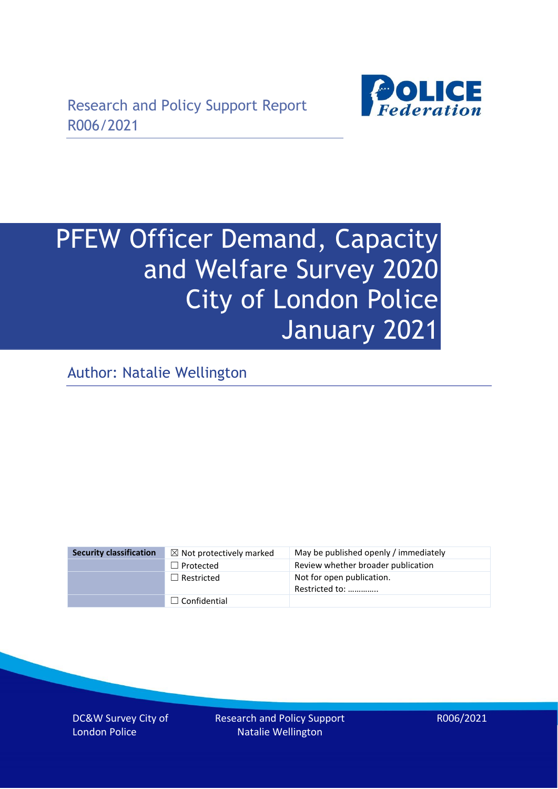

# PFEW Officer Demand, Capacity and Welfare Survey 2020 City of London Police January 2021

Author: Natalie Wellington

| <b>Security classification</b> | $\boxtimes$ Not protectively marked | May be published openly / immediately       |
|--------------------------------|-------------------------------------|---------------------------------------------|
|                                | $\Box$ Protected                    | Review whether broader publication          |
|                                | $\Box$ Restricted                   | Not for open publication.<br>Restricted to: |
|                                | $\Box$ Confidential                 |                                             |

DC&W Survey City of London Police

Research and Policy Support Natalie Wellington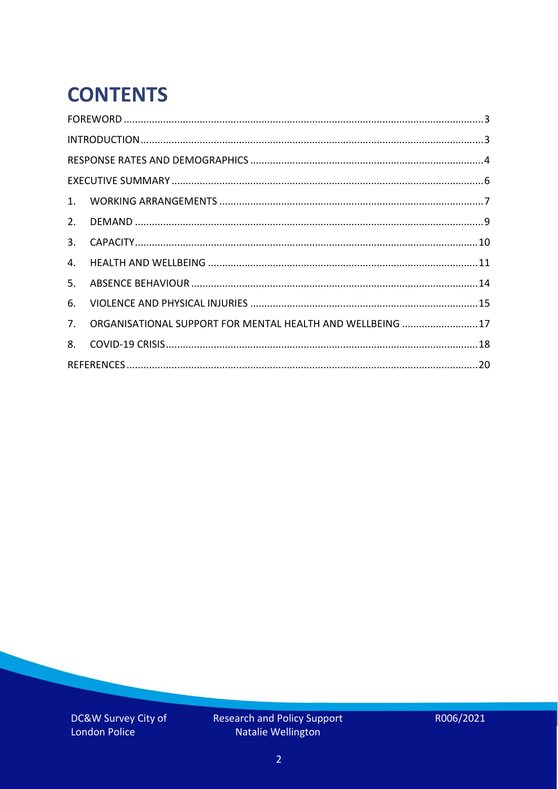# **CONTENTS**

| 4.          |                                                            |  |
|-------------|------------------------------------------------------------|--|
| 5.          |                                                            |  |
| 6.          |                                                            |  |
| $7_{\cdot}$ | ORGANISATIONAL SUPPORT FOR MENTAL HEALTH AND WELLBEING  17 |  |
| 8.          |                                                            |  |
|             |                                                            |  |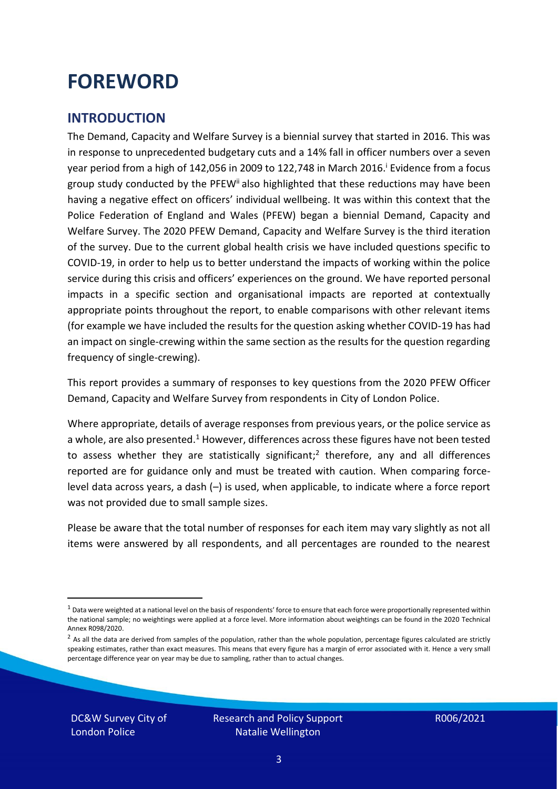### <span id="page-2-0"></span>**FOREWORD**

### <span id="page-2-1"></span>**INTRODUCTION**

The Demand, Capacity and Welfare Survey is a biennial survey that started in 2016. This was in response to unprecedented budgetary cuts and a 14% fall in officer numbers over a seven year period from a high of 142,056 in 2009 to 122,748 in March 2016. <sup>i</sup> Evidence from a focus group study conducted by the PFEW<sup>ii</sup> also highlighted that these reductions may have been having a negative effect on officers' individual wellbeing. It was within this context that the Police Federation of England and Wales (PFEW) began a biennial Demand, Capacity and Welfare Survey. The 2020 PFEW Demand, Capacity and Welfare Survey is the third iteration of the survey. Due to the current global health crisis we have included questions specific to COVID-19, in order to help us to better understand the impacts of working within the police service during this crisis and officers' experiences on the ground. We have reported personal impacts in a specific section and organisational impacts are reported at contextually appropriate points throughout the report, to enable comparisons with other relevant items (for example we have included the results for the question asking whether COVID-19 has had an impact on single-crewing within the same section as the results for the question regarding frequency of single-crewing).

This report provides a summary of responses to key questions from the 2020 PFEW Officer Demand, Capacity and Welfare Survey from respondents in City of London Police.

Where appropriate, details of average responses from previous years, or the police service as a whole, are also presented.<sup>1</sup> However, differences across these figures have not been tested to assess whether they are statistically significant;<sup>2</sup> therefore, any and all differences reported are for guidance only and must be treated with caution. When comparing forcelevel data across years, a dash (–) is used, when applicable, to indicate where a force report was not provided due to small sample sizes.

Please be aware that the total number of responses for each item may vary slightly as not all items were answered by all respondents, and all percentages are rounded to the nearest

DC&W Survey City of London Police

 $1$  Data were weighted at a national level on the basis of respondents' force to ensure that each force were proportionally represented within the national sample; no weightings were applied at a force level. More information about weightings can be found in the 2020 Technical Annex R098/2020.

 $2$  As all the data are derived from samples of the population, rather than the whole population, percentage figures calculated are strictly speaking estimates, rather than exact measures. This means that every figure has a margin of error associated with it. Hence a very small percentage difference year on year may be due to sampling, rather than to actual changes.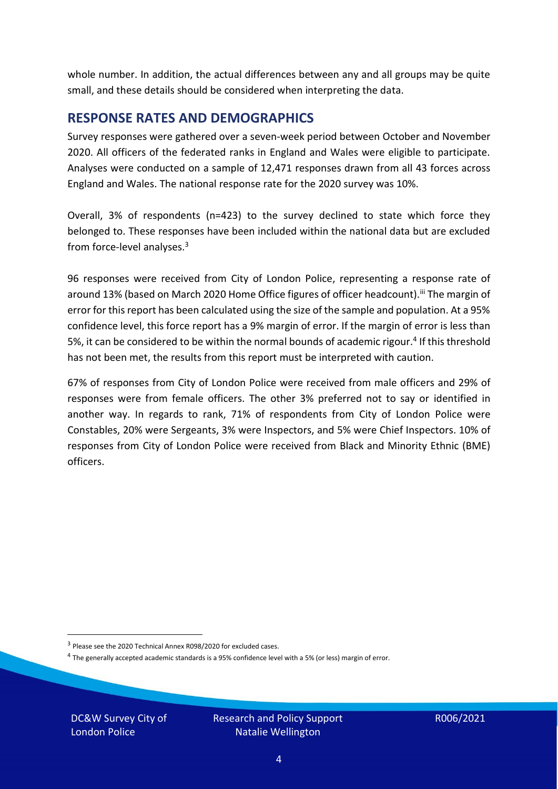whole number. In addition, the actual differences between any and all groups may be quite small, and these details should be considered when interpreting the data.

#### <span id="page-3-0"></span>**RESPONSE RATES AND DEMOGRAPHICS**

Survey responses were gathered over a seven-week period between October and November 2020. All officers of the federated ranks in England and Wales were eligible to participate. Analyses were conducted on a sample of 12,471 responses drawn from all 43 forces across England and Wales. The national response rate for the 2020 survey was 10%.

Overall, 3% of respondents (n=423) to the survey declined to state which force they belonged to. These responses have been included within the national data but are excluded from force-level analyses.<sup>3</sup>

96 responses were received from City of London Police, representing a response rate of around 13% (based on March 2020 Home Office figures of officer headcount).<sup>iii</sup> The margin of error for this report has been calculated using the size of the sample and population. At a 95% confidence level, this force report has a 9% margin of error. If the margin of error is less than 5%, it can be considered to be within the normal bounds of academic rigour.<sup>4</sup> If this threshold has not been met, the results from this report must be interpreted with caution.

67% of responses from City of London Police were received from male officers and 29% of responses were from female officers. The other 3% preferred not to say or identified in another way. In regards to rank, 71% of respondents from City of London Police were Constables, 20% were Sergeants, 3% were Inspectors, and 5% were Chief Inspectors. 10% of responses from City of London Police were received from Black and Minority Ethnic (BME) officers.

DC&W Survey City of London Police

<sup>&</sup>lt;sup>3</sup> Please see the 2020 Technical Annex R098/2020 for excluded cases.

<sup>&</sup>lt;sup>4</sup> The generally accepted academic standards is a 95% confidence level with a 5% (or less) margin of error.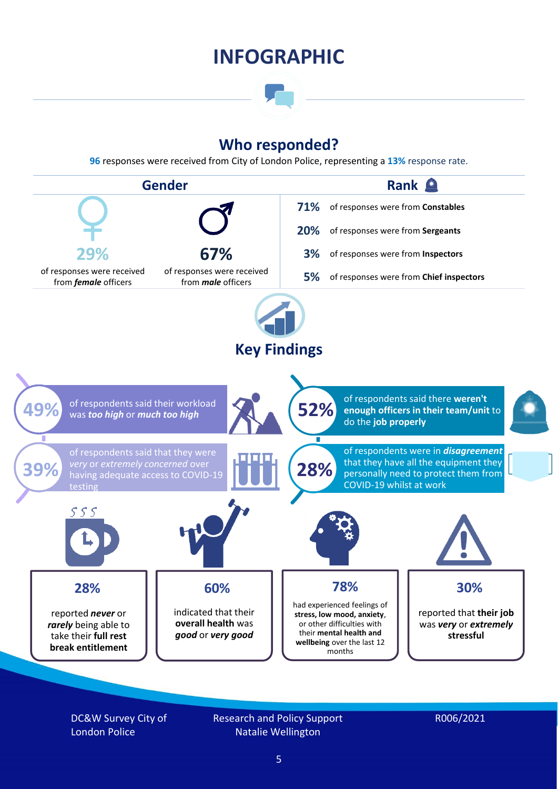### **INFOGRAPHIC**

### **Who responded?**

**96** responses were received from City of London Police, representing a **13%** response rate.



DC&W Survey City of London Police

Research and Policy Support Natalie Wellington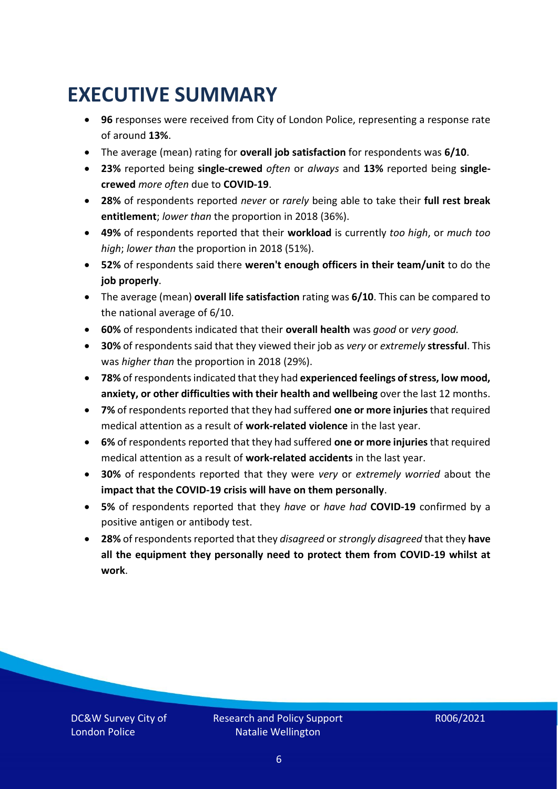### <span id="page-5-0"></span>**EXECUTIVE SUMMARY**

- **96** responses were received from City of London Police, representing a response rate of around **13%**.
- The average (mean) rating for **overall job satisfaction** for respondents was **6/10**.
- **23%** reported being **single-crewed** *often* or *always* and **13%** reported being **singlecrewed** *more often* due to **COVID-19**.
- **28%** of respondents reported *never* or *rarely* being able to take their **full rest break entitlement**; *lower than* the proportion in 2018 (36%).
- **49%** of respondents reported that their **workload** is currently *too high*, or *much too high*; *lower than* the proportion in 2018 (51%).
- **52%** of respondents said there **weren't enough officers in their team/unit** to do the **job properly**.
- The average (mean) **overall life satisfaction** rating was **6/10**. This can be compared to the national average of 6/10.
- **60%** of respondents indicated that their **overall health** was *good* or *very good.*
- **30%** of respondents said that they viewed their job as *very* or *extremely* **stressful**. This was *higher than* the proportion in 2018 (29%).
- **78%** of respondents indicated that they had **experienced feelings of stress, low mood, anxiety, or other difficulties with their health and wellbeing** over the last 12 months.
- **7%** of respondents reported that they had suffered **one or more injuries**that required medical attention as a result of **work-related violence** in the last year.
- **6%** of respondents reported that they had suffered **one or more injuries**that required medical attention as a result of **work-related accidents** in the last year.
- **30%** of respondents reported that they were *very* or *extremely worried* about the **impact that the COVID-19 crisis will have on them personally**.
- **5%** of respondents reported that they *have* or *have had* **COVID-19** confirmed by a positive antigen or antibody test.
- **28%** of respondents reported that they *disagreed* or *strongly disagreed* that they **have all the equipment they personally need to protect them from COVID-19 whilst at work**.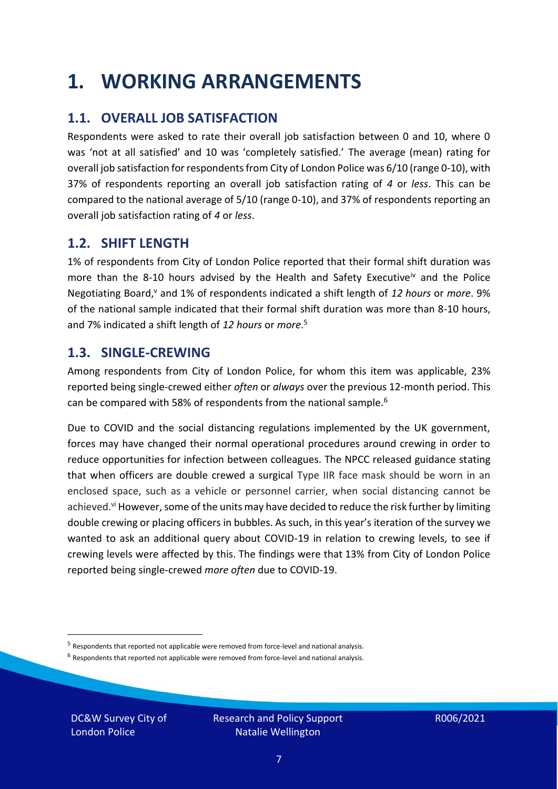### <span id="page-6-0"></span>**1. WORKING ARRANGEMENTS**

### **1.1. OVERALL JOB SATISFACTION**

Respondents were asked to rate their overall job satisfaction between 0 and 10, where 0 was 'not at all satisfied' and 10 was 'completely satisfied.' The average (mean) rating for overall job satisfaction for respondents from City of London Police was 6/10 (range 0-10), with 37% of respondents reporting an overall job satisfaction rating of *4* or *less*. This can be compared to the national average of 5/10 (range 0-10), and 37% of respondents reporting an overall job satisfaction rating of *4* or *less*.

### **1.2. SHIFT LENGTH**

1% of respondents from City of London Police reported that their formal shift duration was more than the 8-10 hours advised by the Health and Safety Executive<sup>iv</sup> and the Police Negotiating Board,<sup>v</sup> and 1% of respondents indicated a shift length of 12 hours or *more*. 9% of the national sample indicated that their formal shift duration was more than 8-10 hours, and 7% indicated a shift length of *12 hours* or *more*. 5

#### **1.3. SINGLE-CREWING**

Among respondents from City of London Police, for whom this item was applicable, 23% reported being single-crewed either *often* or *always* over the previous 12-month period. This can be compared with 58% of respondents from the national sample.<sup>6</sup>

Due to COVID and the social distancing regulations implemented by the UK government, forces may have changed their normal operational procedures around crewing in order to reduce opportunities for infection between colleagues. The NPCC released guidance stating that when officers are double crewed a surgical Type IIR face mask should be worn in an enclosed space, such as a vehicle or personnel carrier, when social distancing cannot be achieved.<sup>vi</sup> However, some of the units may have decided to reduce the risk further by limiting double crewing or placing officers in bubbles. As such, in this year's iteration of the survey we wanted to ask an additional query about COVID-19 in relation to crewing levels, to see if crewing levels were affected by this. The findings were that 13% from City of London Police reported being single-crewed *more often* due to COVID-19.

 $<sup>6</sup>$  Respondents that reported not applicable were removed from force-level and national analysis.</sup>

DC&W Survey City of London Police

<sup>&</sup>lt;sup>5</sup> Respondents that reported not applicable were removed from force-level and national analysis.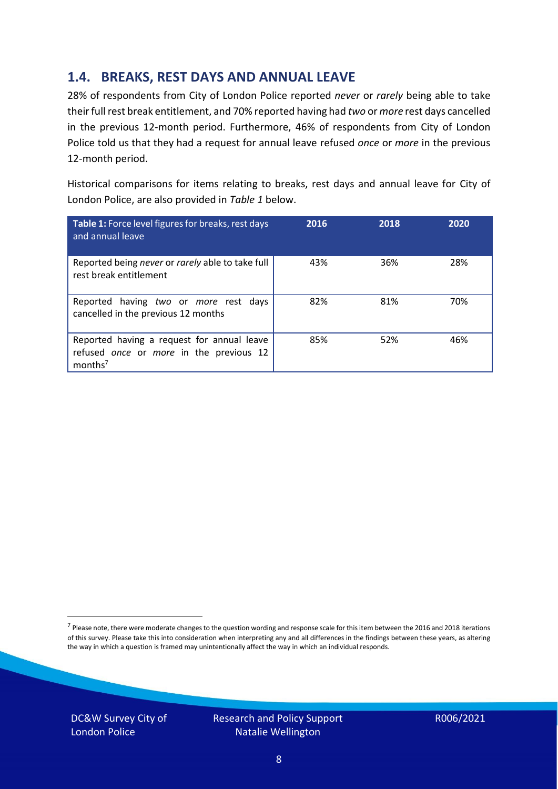### **1.4. BREAKS, REST DAYS AND ANNUAL LEAVE**

28% of respondents from City of London Police reported *never* or *rarely* being able to take their full rest break entitlement, and 70% reported having had *two* or *more* rest days cancelled in the previous 12-month period. Furthermore, 46% of respondents from City of London Police told us that they had a request for annual leave refused *once* or *more* in the previous 12-month period.

Historical comparisons for items relating to breaks, rest days and annual leave for City of London Police, are also provided in *Table 1* below.

| Table 1: Force level figures for breaks, rest days<br>and annual leave                                       | 2016 | 2018 | 2020 |
|--------------------------------------------------------------------------------------------------------------|------|------|------|
| Reported being never or rarely able to take full<br>rest break entitlement                                   | 43%  | 36%  | 28%  |
| Reported having two or more rest days<br>cancelled in the previous 12 months                                 | 82%  | 81%  | 70%  |
| Reported having a request for annual leave<br>refused once or more in the previous 12<br>months <sup>7</sup> | 85%  | 52%  | 46%  |

DC&W Survey City of London Police



<sup>&</sup>lt;sup>7</sup> Please note, there were moderate changes to the question wording and response scale for this item between the 2016 and 2018 iterations of this survey. Please take this into consideration when interpreting any and all differences in the findings between these years, as altering the way in which a question is framed may unintentionally affect the way in which an individual responds.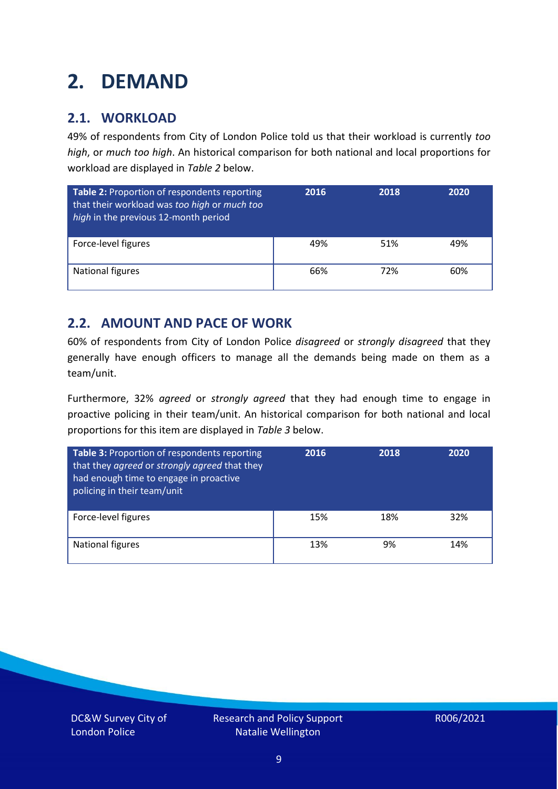### <span id="page-8-0"></span>**2. DEMAND**

### **2.1. WORKLOAD**

49% of respondents from City of London Police told us that their workload is currently *too high*, or *much too high*. An historical comparison for both national and local proportions for workload are displayed in *Table 2* below.

| Table 2: Proportion of respondents reporting<br>that their workload was too high or much too<br>high in the previous 12-month period | 2016 | 2018 | 2020 |
|--------------------------------------------------------------------------------------------------------------------------------------|------|------|------|
| Force-level figures                                                                                                                  | 49%  | 51%  | 49%  |
| <b>National figures</b>                                                                                                              | 66%  | 72%  | 60%  |

### **2.2. AMOUNT AND PACE OF WORK**

60% of respondents from City of London Police *disagreed* or *strongly disagreed* that they generally have enough officers to manage all the demands being made on them as a team/unit.

Furthermore, 32% *agreed* or *strongly agreed* that they had enough time to engage in proactive policing in their team/unit. An historical comparison for both national and local proportions for this item are displayed in *Table 3* below.

| <b>Table 3: Proportion of respondents reporting</b><br>that they agreed or strongly agreed that they<br>had enough time to engage in proactive<br>policing in their team/unit | 2016 | 2018 | 2020 |
|-------------------------------------------------------------------------------------------------------------------------------------------------------------------------------|------|------|------|
| Force-level figures                                                                                                                                                           | 15%  | 18%  | 32%  |
| <b>National figures</b>                                                                                                                                                       | 13%  | 9%   | 14%  |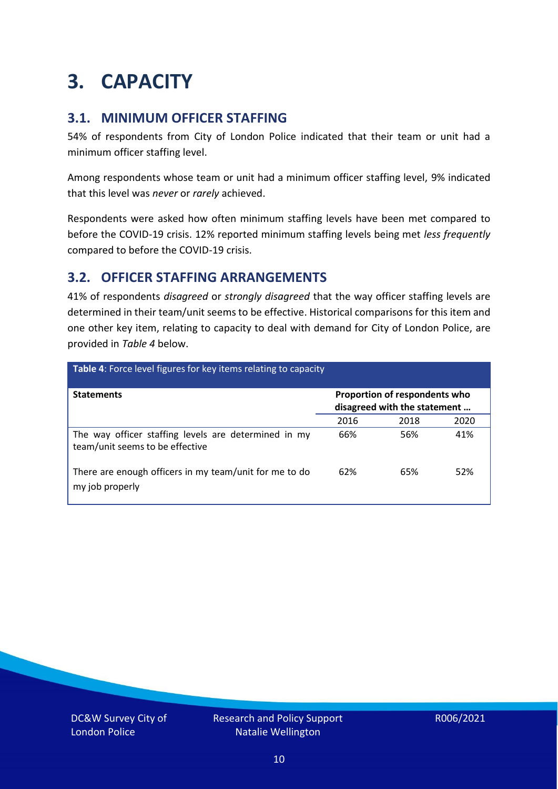### <span id="page-9-0"></span>**3. CAPACITY**

### **3.1. MINIMUM OFFICER STAFFING**

54% of respondents from City of London Police indicated that their team or unit had a minimum officer staffing level.

Among respondents whose team or unit had a minimum officer staffing level, 9% indicated that this level was *never* or *rarely* achieved.

Respondents were asked how often minimum staffing levels have been met compared to before the COVID-19 crisis. 12% reported minimum staffing levels being met *less frequently* compared to before the COVID-19 crisis.

### **3.2. OFFICER STAFFING ARRANGEMENTS**

41% of respondents *disagreed* or *strongly disagreed* that the way officer staffing levels are determined in their team/unit seems to be effective. Historical comparisons for this item and one other key item, relating to capacity to deal with demand for City of London Police, are provided in *Table 4* below.

| Table 4: Force level figures for key items relating to capacity                         |                                                               |      |      |
|-----------------------------------------------------------------------------------------|---------------------------------------------------------------|------|------|
| <b>Statements</b>                                                                       | Proportion of respondents who<br>disagreed with the statement |      |      |
|                                                                                         | 2016                                                          | 2018 | 2020 |
| The way officer staffing levels are determined in my<br>team/unit seems to be effective | 66%                                                           | 56%  | 41%  |
| There are enough officers in my team/unit for me to do<br>my job properly               | 62%                                                           | 65%  | 52%  |

DC&W Survey City of London Police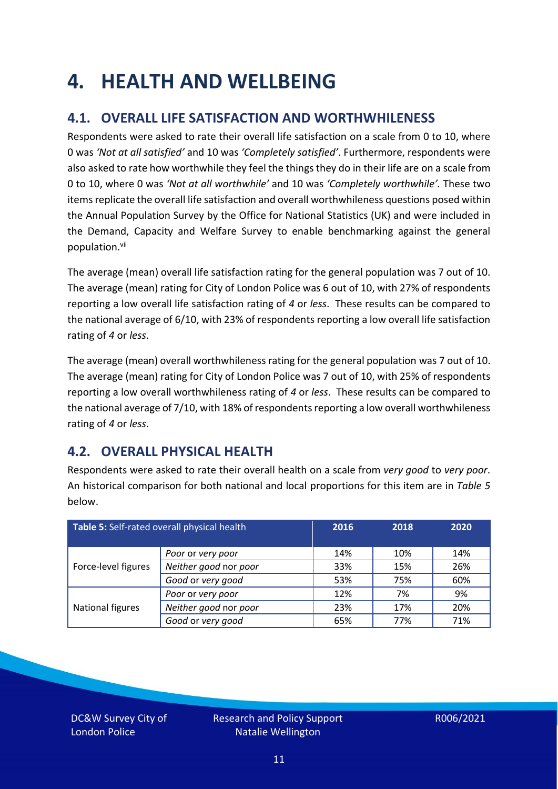### <span id="page-10-0"></span>**4. HEALTH AND WELLBEING**

### **4.1. OVERALL LIFE SATISFACTION AND WORTHWHILENESS**

Respondents were asked to rate their overall life satisfaction on a scale from 0 to 10, where 0 was *'Not at all satisfied'* and 10 was *'Completely satisfied'*. Furthermore, respondents were also asked to rate how worthwhile they feel the things they do in their life are on a scale from 0 to 10, where 0 was *'Not at all worthwhile'* and 10 was *'Completely worthwhile'.* These two items replicate the overall life satisfaction and overall worthwhileness questions posed within the Annual Population Survey by the Office for National Statistics (UK) and were included in the Demand, Capacity and Welfare Survey to enable benchmarking against the general population. vii

The average (mean) overall life satisfaction rating for the general population was 7 out of 10. The average (mean) rating for City of London Police was 6 out of 10, with 27% of respondents reporting a low overall life satisfaction rating of *4* or *less*. These results can be compared to the national average of 6/10, with 23% of respondents reporting a low overall life satisfaction rating of *4* or *less*.

The average (mean) overall worthwhileness rating for the general population was 7 out of 10. The average (mean) rating for City of London Police was 7 out of 10, with 25% of respondents reporting a low overall worthwhileness rating of *4* or *less*. These results can be compared to the national average of 7/10, with 18% of respondents reporting a low overall worthwhileness rating of *4* or *less*.

### **4.2. OVERALL PHYSICAL HEALTH**

Respondents were asked to rate their overall health on a scale from *very good* to *very poor*. An historical comparison for both national and local proportions for this item are in *Table 5* below.

| Table 5: Self-rated overall physical health |                       | 2016 | 2018 | 2020 |
|---------------------------------------------|-----------------------|------|------|------|
|                                             | Poor or very poor     | 14%  | 10%  | 14%  |
| Force-level figures                         | Neither good nor poor | 33%  | 15%  | 26%  |
|                                             | Good or very good     | 53%  | 75%  | 60%  |
|                                             | Poor or very poor     | 12%  | 7%   | 9%   |
| National figures                            | Neither good nor poor | 23%  | 17%  | 20%  |
|                                             | Good or very good     | 65%  | 77%  | 71%  |

DC&W Survey City of London Police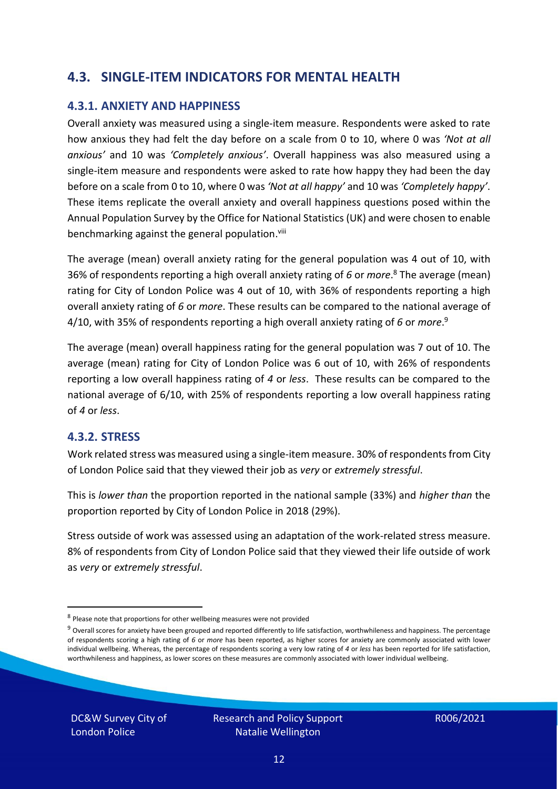### **4.3. SINGLE-ITEM INDICATORS FOR MENTAL HEALTH**

#### **4.3.1. ANXIETY AND HAPPINESS**

Overall anxiety was measured using a single-item measure. Respondents were asked to rate how anxious they had felt the day before on a scale from 0 to 10, where 0 was *'Not at all anxious'* and 10 was *'Completely anxious'*. Overall happiness was also measured using a single-item measure and respondents were asked to rate how happy they had been the day before on a scale from 0 to 10, where 0 was *'Not at all happy'* and 10 was *'Completely happy'*. These items replicate the overall anxiety and overall happiness questions posed within the Annual Population Survey by the Office for National Statistics (UK) and were chosen to enable benchmarking against the general population.<sup>viii</sup>

The average (mean) overall anxiety rating for the general population was 4 out of 10, with 36% of respondents reporting a high overall anxiety rating of *6* or *more*. <sup>8</sup> The average (mean) rating for City of London Police was 4 out of 10, with 36% of respondents reporting a high overall anxiety rating of *6* or *more*. These results can be compared to the national average of 4/10, with 35% of respondents reporting a high overall anxiety rating of *6* or *more*. 9

The average (mean) overall happiness rating for the general population was 7 out of 10. The average (mean) rating for City of London Police was 6 out of 10, with 26% of respondents reporting a low overall happiness rating of *4* or *less*. These results can be compared to the national average of 6/10, with 25% of respondents reporting a low overall happiness rating of *4* or *less*.

#### **4.3.2. STRESS**

Work related stress was measured using a single-item measure. 30% of respondents from City of London Police said that they viewed their job as *very* or *extremely stressful*.

This is *lower than* the proportion reported in the national sample (33%) and *higher than* the proportion reported by City of London Police in 2018 (29%).

Stress outside of work was assessed using an adaptation of the work-related stress measure. 8% of respondents from City of London Police said that they viewed their life outside of work as *very* or *extremely stressful*.

<sup>&</sup>lt;sup>8</sup> Please note that proportions for other wellbeing measures were not provided

 $9$  Overall scores for anxiety have been grouped and reported differently to life satisfaction, worthwhileness and happiness. The percentage of respondents scoring a high rating of *6* or *more* has been reported, as higher scores for anxiety are commonly associated with lower individual wellbeing. Whereas, the percentage of respondents scoring a very low rating of *4* or *less* has been reported for life satisfaction, worthwhileness and happiness, as lower scores on these measures are commonly associated with lower individual wellbeing.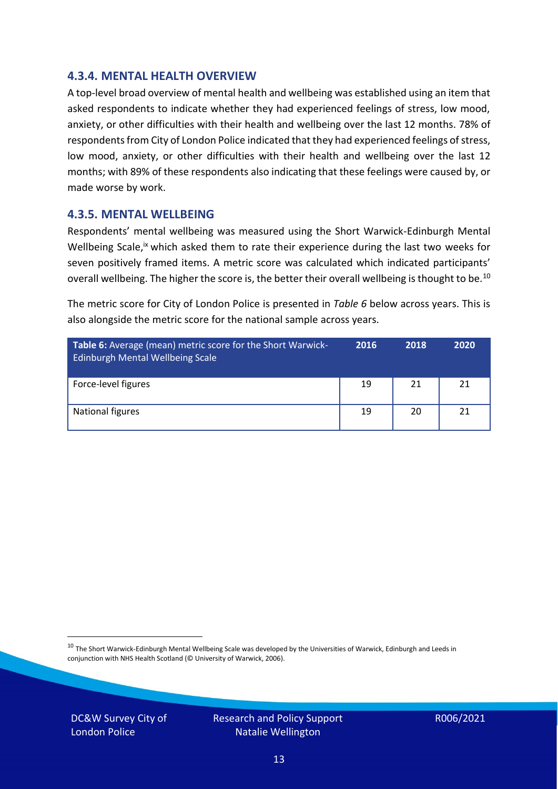#### **4.3.4. MENTAL HEALTH OVERVIEW**

A top-level broad overview of mental health and wellbeing was established using an item that asked respondents to indicate whether they had experienced feelings of stress, low mood, anxiety, or other difficulties with their health and wellbeing over the last 12 months. 78% of respondents from City of London Police indicated that they had experienced feelings of stress, low mood, anxiety, or other difficulties with their health and wellbeing over the last 12 months; with 89% of these respondents also indicating that these feelings were caused by, or made worse by work.

#### **4.3.5. MENTAL WELLBEING**

Respondents' mental wellbeing was measured using the Short Warwick-Edinburgh Mental Wellbeing Scale,<sup>ix</sup> which asked them to rate their experience during the last two weeks for seven positively framed items. A metric score was calculated which indicated participants' overall wellbeing. The higher the score is, the better their overall wellbeing is thought to be.<sup>10</sup>

The metric score for City of London Police is presented in *Table 6* below across years. This is also alongside the metric score for the national sample across years.

| <b>Table 6:</b> Average (mean) metric score for the Short Warwick-<br>Edinburgh Mental Wellbeing Scale | 2016 | 2018 | 2020 |
|--------------------------------------------------------------------------------------------------------|------|------|------|
| Force-level figures                                                                                    | 19   | 21   | 21   |
| National figures                                                                                       | 19   | 20   | 21   |

 $10$  The Short Warwick-Edinburgh Mental Wellbeing Scale was developed by the Universities of Warwick, Edinburgh and Leeds in conjunction with NHS Health Scotland (© University of Warwick, 2006).

DC&W Survey City of London Police

Research and Policy Support Natalie Wellington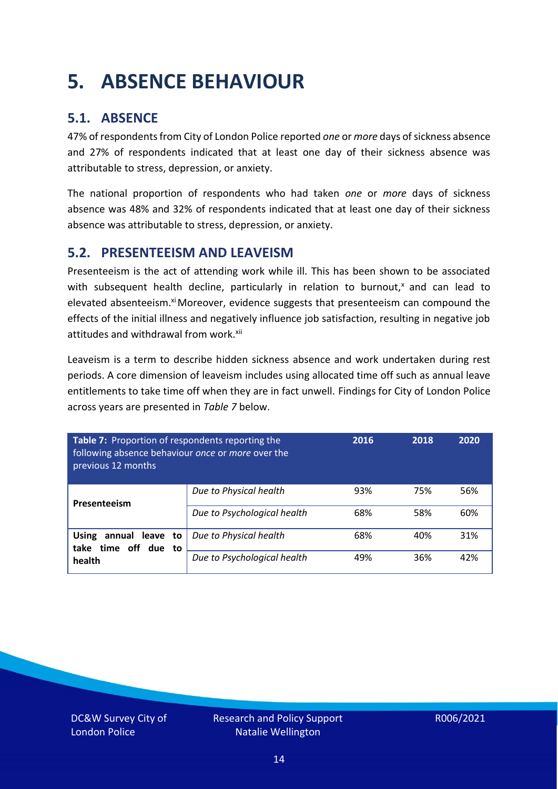### <span id="page-13-0"></span>**5. ABSENCE BEHAVIOUR**

### **5.1. ABSENCE**

47% of respondents from City of London Police reported *one* or *more* days of sickness absence and 27% of respondents indicated that at least one day of their sickness absence was attributable to stress, depression, or anxiety.

The national proportion of respondents who had taken *one* or *more* days of sickness absence was 48% and 32% of respondents indicated that at least one day of their sickness absence was attributable to stress, depression, or anxiety.

### **5.2. PRESENTEEISM AND LEAVEISM**

Presenteeism is the act of attending work while ill. This has been shown to be associated with subsequent health decline, particularly in relation to burnout, $x$  and can lead to elevated absenteeism.<sup>xi</sup> Moreover, evidence suggests that presenteeism can compound the effects of the initial illness and negatively influence job satisfaction, resulting in negative job attitudes and withdrawal from work.<sup>xii</sup>

Leaveism is a term to describe hidden sickness absence and work undertaken during rest periods. A core dimension of leaveism includes using allocated time off such as annual leave entitlements to take time off when they are in fact unwell. Findings for City of London Police across years are presented in *Table 7* below.

| Table 7: Proportion of respondents reporting the<br>following absence behaviour once or more over the<br>previous 12 months |                             | 2016 | 2018 | 2020 |
|-----------------------------------------------------------------------------------------------------------------------------|-----------------------------|------|------|------|
| Presenteeism                                                                                                                | Due to Physical health      | 93%  | 75%  | 56%  |
|                                                                                                                             | Due to Psychological health | 68%  | 58%  | 60%  |
| <b>Using</b><br>annual leave to<br>time off due to<br>take<br>health                                                        | Due to Physical health      | 68%  | 40%  | 31%  |
|                                                                                                                             | Due to Psychological health | 49%  | 36%  | 42%  |

DC&W Survey City of London Police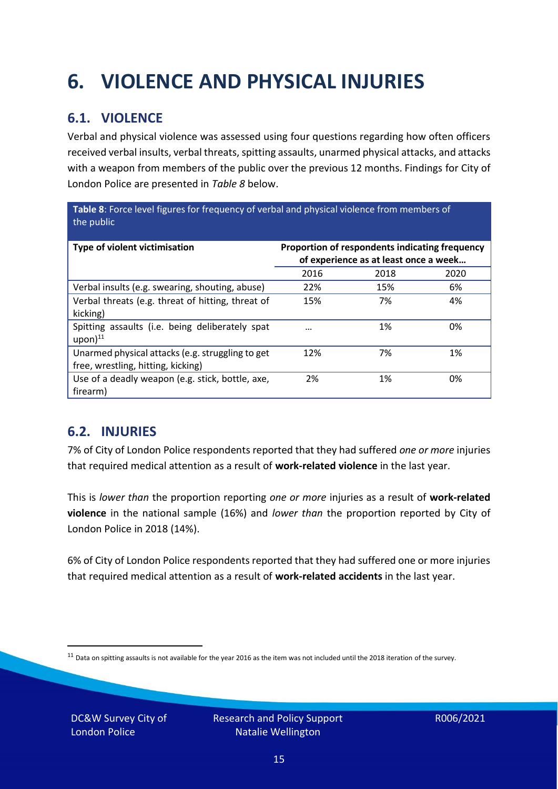## <span id="page-14-0"></span>**6. VIOLENCE AND PHYSICAL INJURIES**

### **6.1. VIOLENCE**

Verbal and physical violence was assessed using four questions regarding how often officers received verbal insults, verbal threats, spitting assaults, unarmed physical attacks, and attacks with a weapon from members of the public over the previous 12 months. Findings for City of London Police are presented in *Table 8* below.

**Table 8**: Force level figures for frequency of verbal and physical violence from members of the public

| Type of violent victimisation                                                          | Proportion of respondents indicating frequency<br>of experience as at least once a week |      |      |
|----------------------------------------------------------------------------------------|-----------------------------------------------------------------------------------------|------|------|
|                                                                                        | 2016                                                                                    | 2018 | 2020 |
| Verbal insults (e.g. swearing, shouting, abuse)                                        | 22%                                                                                     | 15%  | 6%   |
| Verbal threats (e.g. threat of hitting, threat of<br>kicking)                          | 15%                                                                                     | 7%   | 4%   |
| Spitting assaults (i.e. being deliberately spat<br>$upon)$ <sup>11</sup>               |                                                                                         | 1%   | 0%   |
| Unarmed physical attacks (e.g. struggling to get<br>free, wrestling, hitting, kicking) | 12%                                                                                     | 7%   | 1%   |
| Use of a deadly weapon (e.g. stick, bottle, axe,<br>firearm)                           | 2%                                                                                      | 1%   | 0%   |

### **6.2. INJURIES**

7% of City of London Police respondents reported that they had suffered *one or more* injuries that required medical attention as a result of **work-related violence** in the last year.

This is *lower than* the proportion reporting *one or more* injuries as a result of **work-related violence** in the national sample (16%) and *lower than* the proportion reported by City of London Police in 2018 (14%).

6% of City of London Police respondents reported that they had suffered one or more injuries that required medical attention as a result of **work-related accidents** in the last year.

DC&W Survey City of London Police

 $11$  Data on spitting assaults is not available for the year 2016 as the item was not included until the 2018 iteration of the survey.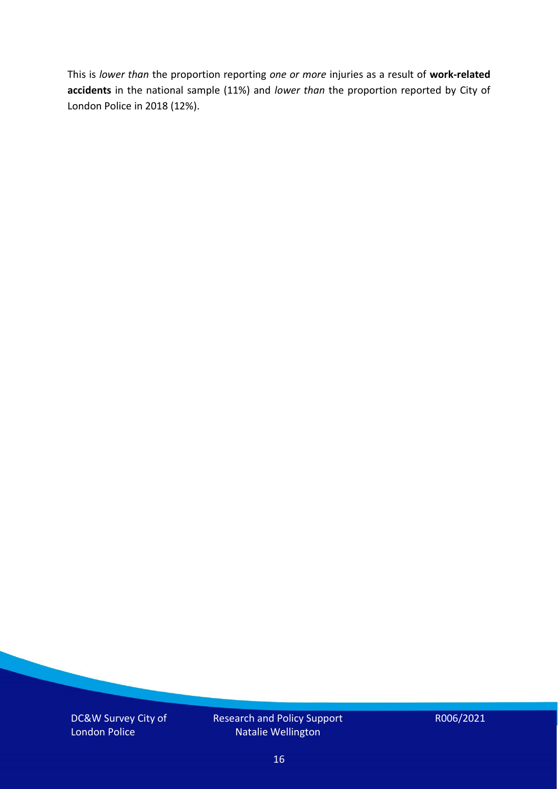This is *lower than* the proportion reporting *one or more* injuries as a result of **work-related accidents** in the national sample (11%) and *lower than* the proportion reported by City of London Police in 2018 (12%).

DC&W Survey City of London Police

Research and Policy Support Natalie Wellington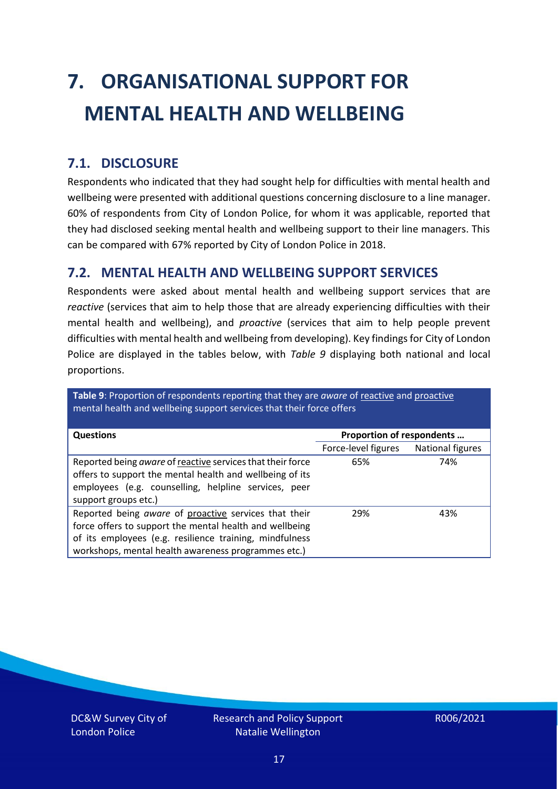# <span id="page-16-0"></span>**7. ORGANISATIONAL SUPPORT FOR MENTAL HEALTH AND WELLBEING**

### **7.1. DISCLOSURE**

Respondents who indicated that they had sought help for difficulties with mental health and wellbeing were presented with additional questions concerning disclosure to a line manager. 60% of respondents from City of London Police, for whom it was applicable, reported that they had disclosed seeking mental health and wellbeing support to their line managers. This can be compared with 67% reported by City of London Police in 2018.

#### **7.2. MENTAL HEALTH AND WELLBEING SUPPORT SERVICES**

Respondents were asked about mental health and wellbeing support services that are *reactive* (services that aim to help those that are already experiencing difficulties with their mental health and wellbeing), and *proactive* (services that aim to help people prevent difficulties with mental health and wellbeing from developing). Key findings for City of London Police are displayed in the tables below, with *Table 9* displaying both national and local proportions.

**Table 9**: Proportion of respondents reporting that they are *aware* of reactive and proactive mental health and wellbeing support services that their force offers

| <b>Questions</b>                                                                                                                                                                                                                   | Proportion of respondents |                  |
|------------------------------------------------------------------------------------------------------------------------------------------------------------------------------------------------------------------------------------|---------------------------|------------------|
|                                                                                                                                                                                                                                    | Force-level figures       | National figures |
| Reported being aware of reactive services that their force<br>offers to support the mental health and wellbeing of its<br>employees (e.g. counselling, helpline services, peer<br>support groups etc.)                             | 65%                       | 74%              |
| Reported being aware of proactive services that their<br>force offers to support the mental health and wellbeing<br>of its employees (e.g. resilience training, mindfulness<br>workshops, mental health awareness programmes etc.) | 29%                       | 43%              |

DC&W Survey City of London Police

Research and Policy Support Natalie Wellington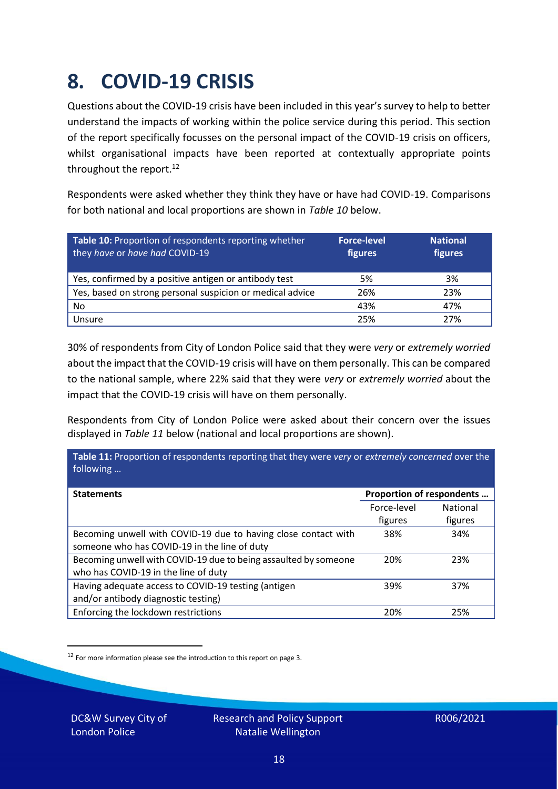### <span id="page-17-0"></span>**8. COVID-19 CRISIS**

Questions about the COVID-19 crisis have been included in this year's survey to help to better understand the impacts of working within the police service during this period. This section of the report specifically focusses on the personal impact of the COVID-19 crisis on officers, whilst organisational impacts have been reported at contextually appropriate points throughout the report.<sup>12</sup>

Respondents were asked whether they think they have or have had COVID-19. Comparisons for both national and local proportions are shown in *Table 10* below.

| Table 10: Proportion of respondents reporting whether<br>they have or have had COVID-19 | <b>Force-level</b><br>figures | <b>National</b><br>figures |
|-----------------------------------------------------------------------------------------|-------------------------------|----------------------------|
| Yes, confirmed by a positive antigen or antibody test                                   | 5%                            | 3%                         |
| Yes, based on strong personal suspicion or medical advice                               | 26%                           | 23%                        |
| No                                                                                      | 43%                           | 47%                        |
| Unsure                                                                                  | 25%                           | 27%                        |

30% of respondents from City of London Police said that they were *very* or *extremely worried* about the impact that the COVID-19 crisis will have on them personally. This can be compared to the national sample, where 22% said that they were *very* or *extremely worried* about the impact that the COVID-19 crisis will have on them personally.

Respondents from City of London Police were asked about their concern over the issues displayed in *Table 11* below (national and local proportions are shown).

| Table 11: Proportion of respondents reporting that they were very or extremely concerned over the |                 |
|---------------------------------------------------------------------------------------------------|-----------------|
| Proportion of respondents                                                                         |                 |
| Force-level                                                                                       | <b>National</b> |
| figures                                                                                           | figures         |
| 38%                                                                                               | 34%             |
|                                                                                                   |                 |
| 20%                                                                                               | 23%             |
|                                                                                                   |                 |
| 39%                                                                                               | 37%             |
|                                                                                                   |                 |
| 20%                                                                                               | 25%             |
|                                                                                                   |                 |

<sup>12</sup> For more information please see the introduction to this report on page 3.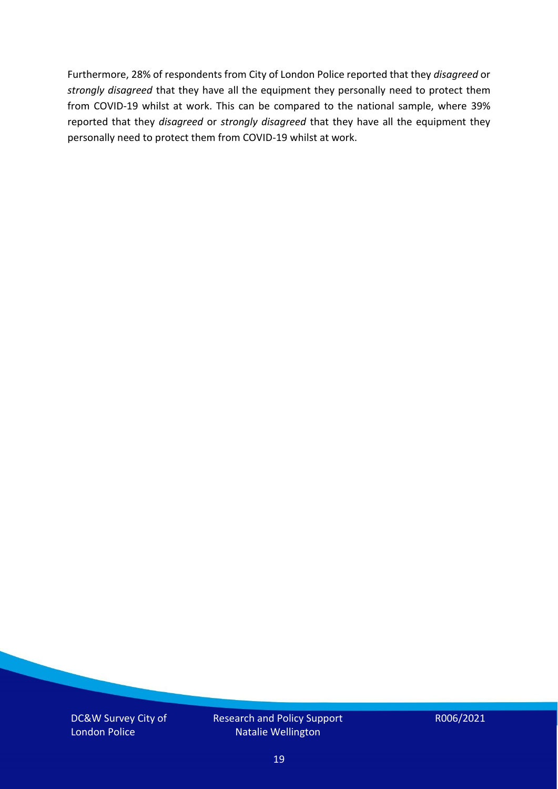Furthermore, 28% of respondents from City of London Police reported that they *disagreed* or *strongly disagreed* that they have all the equipment they personally need to protect them from COVID-19 whilst at work. This can be compared to the national sample, where 39% reported that they *disagreed* or *strongly disagreed* that they have all the equipment they personally need to protect them from COVID-19 whilst at work.

DC&W Survey City of London Police

Research and Policy Support Natalie Wellington